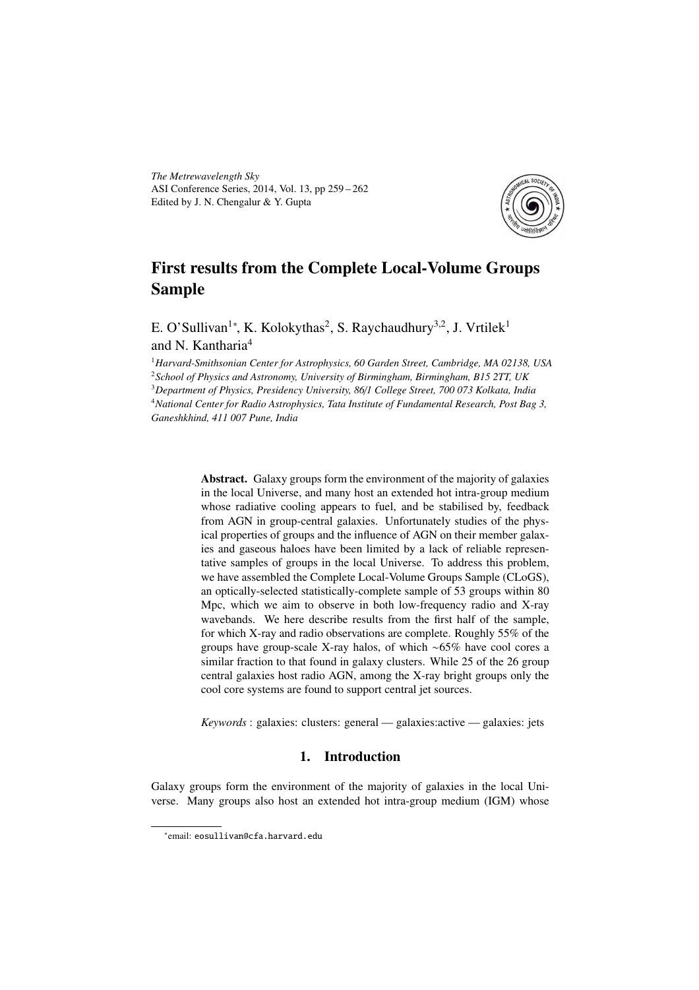*The Metrewavelength Sky* ASI Conference Series, 2014, Vol. 13, pp 259 – 262 Edited by J. N. Chengalur & Y. Gupta



# First results from the Complete Local-Volume Groups Sample

E. O'Sullivan<sup>1</sup>\*, K. Kolokythas<sup>2</sup>, S. Raychaudhury<sup>3,2</sup>, J. Vrtilek<sup>1</sup> and N. Kantharia<sup>4</sup>

*Harvard-Smithsonian Center for Astrophysics, 60 Garden Street, Cambridge, MA 02138, USA School of Physics and Astronomy, University of Birmingham, Birmingham, B15 2TT, UK Department of Physics, Presidency University, 86*/*1 College Street, 700 073 Kolkata, India National Center for Radio Astrophysics, Tata Institute of Fundamental Research, Post Bag 3, Ganeshkhind, 411 007 Pune, India*

> Abstract. Galaxy groups form the environment of the majority of galaxies in the local Universe, and many host an extended hot intra-group medium whose radiative cooling appears to fuel, and be stabilised by, feedback from AGN in group-central galaxies. Unfortunately studies of the physical properties of groups and the influence of AGN on their member galaxies and gaseous haloes have been limited by a lack of reliable representative samples of groups in the local Universe. To address this problem, we have assembled the Complete Local-Volume Groups Sample (CLoGS), an optically-selected statistically-complete sample of 53 groups within 80 Mpc, which we aim to observe in both low-frequency radio and X-ray wavebands. We here describe results from the first half of the sample, for which X-ray and radio observations are complete. Roughly 55% of the groups have group-scale X-ray halos, of which ∼65% have cool cores a similar fraction to that found in galaxy clusters. While 25 of the 26 group central galaxies host radio AGN, among the X-ray bright groups only the cool core systems are found to support central jet sources.

*Keywords* : galaxies: clusters: general — galaxies:active — galaxies: jets

# 1. Introduction

Galaxy groups form the environment of the majority of galaxies in the local Universe. Many groups also host an extended hot intra-group medium (IGM) whose

<sup>∗</sup> email: eosullivan@cfa.harvard.edu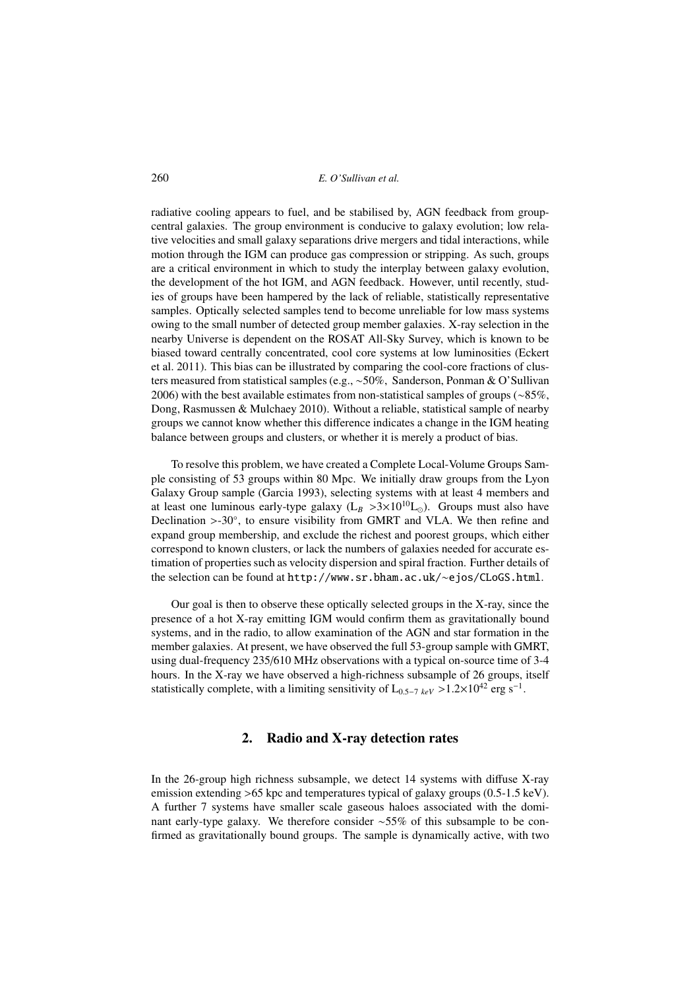260 *E. O'Sullivan et al.*

radiative cooling appears to fuel, and be stabilised by, AGN feedback from groupcentral galaxies. The group environment is conducive to galaxy evolution; low relative velocities and small galaxy separations drive mergers and tidal interactions, while motion through the IGM can produce gas compression or stripping. As such, groups are a critical environment in which to study the interplay between galaxy evolution, the development of the hot IGM, and AGN feedback. However, until recently, studies of groups have been hampered by the lack of reliable, statistically representative samples. Optically selected samples tend to become unreliable for low mass systems owing to the small number of detected group member galaxies. X-ray selection in the nearby Universe is dependent on the ROSAT All-Sky Survey, which is known to be biased toward centrally concentrated, cool core systems at low luminosities (Eckert et al. 2011). This bias can be illustrated by comparing the cool-core fractions of clusters measured from statistical samples (e.g., ∼50%, Sanderson, Ponman & O'Sullivan 2006) with the best available estimates from non-statistical samples of groups (∼85%, Dong, Rasmussen & Mulchaey 2010). Without a reliable, statistical sample of nearby groups we cannot know whether this difference indicates a change in the IGM heating balance between groups and clusters, or whether it is merely a product of bias.

To resolve this problem, we have created a Complete Local-Volume Groups Sample consisting of 53 groups within 80 Mpc. We initially draw groups from the Lyon Galaxy Group sample (Garcia 1993), selecting systems with at least 4 members and at least one luminous early-type galaxy  $(L_B > 3 \times 10^{10} L_{\odot})$ . Groups must also have Declination >-30°, to ensure visibility from GMRT and VLA. We then refine and expand group membership, and exclude the richest and poorest groups, which either correspond to known clusters, or lack the numbers of galaxies needed for accurate estimation of properties such as velocity dispersion and spiral fraction. Further details of the selection can be found at http://www.sr.bham.ac.uk/∼ejos/CLoGS.html.

Our goal is then to observe these optically selected groups in the X-ray, since the presence of a hot X-ray emitting IGM would confirm them as gravitationally bound systems, and in the radio, to allow examination of the AGN and star formation in the member galaxies. At present, we have observed the full 53-group sample with GMRT, using dual-frequency 235/610 MHz observations with a typical on-source time of 3-4 hours. In the X-ray we have observed a high-richness subsample of 26 groups, itself statistically complete, with a limiting sensitivity of  $L_{0.5-7 \ keV} > 1.2 \times 10^{42}$  erg s<sup>-1</sup>.

## 2. Radio and X-ray detection rates

In the 26-group high richness subsample, we detect 14 systems with diffuse X-ray emission extending >65 kpc and temperatures typical of galaxy groups (0.5-1.5 keV). A further 7 systems have smaller scale gaseous haloes associated with the dominant early-type galaxy. We therefore consider ∼55% of this subsample to be confirmed as gravitationally bound groups. The sample is dynamically active, with two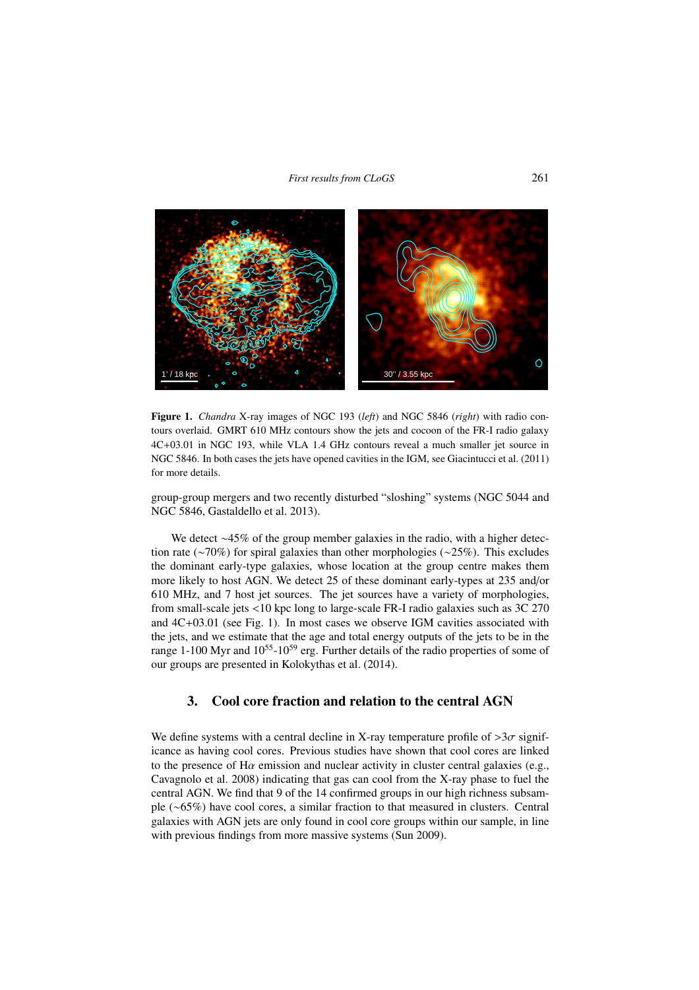#### *First results from CLoGS* 261



Figure 1. *Chandra* X-ray images of NGC 193 (*left*) and NGC 5846 (*right*) with radio contours overlaid. GMRT 610 MHz contours show the jets and cocoon of the FR-I radio galaxy 4C+03.01 in NGC 193, while VLA 1.4 GHz contours reveal a much smaller jet source in NGC 5846. In both cases the jets have opened cavities in the IGM, see Giacintucci et al. (2011) for more details.

group-group mergers and two recently disturbed "sloshing" systems (NGC 5044 and NGC 5846, Gastaldello et al. 2013).

We detect ∼45% of the group member galaxies in the radio, with a higher detection rate (∼70%) for spiral galaxies than other morphologies (∼25%). This excludes the dominant early-type galaxies, whose location at the group centre makes them more likely to host AGN. We detect 25 of these dominant early-types at 235 and/or 610 MHz, and 7 host jet sources. The jet sources have a variety of morphologies, from small-scale jets <10 kpc long to large-scale FR-I radio galaxies such as 3C 270 and 4C+03.01 (see Fig. 1). In most cases we observe IGM cavities associated with the jets, and we estimate that the age and total energy outputs of the jets to be in the range 1-100 Myr and  $10^{55}$ -10<sup>59</sup> erg. Further details of the radio properties of some of our groups are presented in Kolokythas et al. (2014).

# 3. Cool core fraction and relation to the central AGN

We define systems with a central decline in X-ray temperature profile of  $>3\sigma$  significance as having cool cores. Previous studies have shown that cool cores are linked to the presence of  $H\alpha$  emission and nuclear activity in cluster central galaxies (e.g., Cavagnolo et al. 2008) indicating that gas can cool from the X-ray phase to fuel the central AGN. We find that 9 of the 14 confirmed groups in our high richness subsample (∼65%) have cool cores, a similar fraction to that measured in clusters. Central galaxies with AGN jets are only found in cool core groups within our sample, in line with previous findings from more massive systems (Sun 2009).